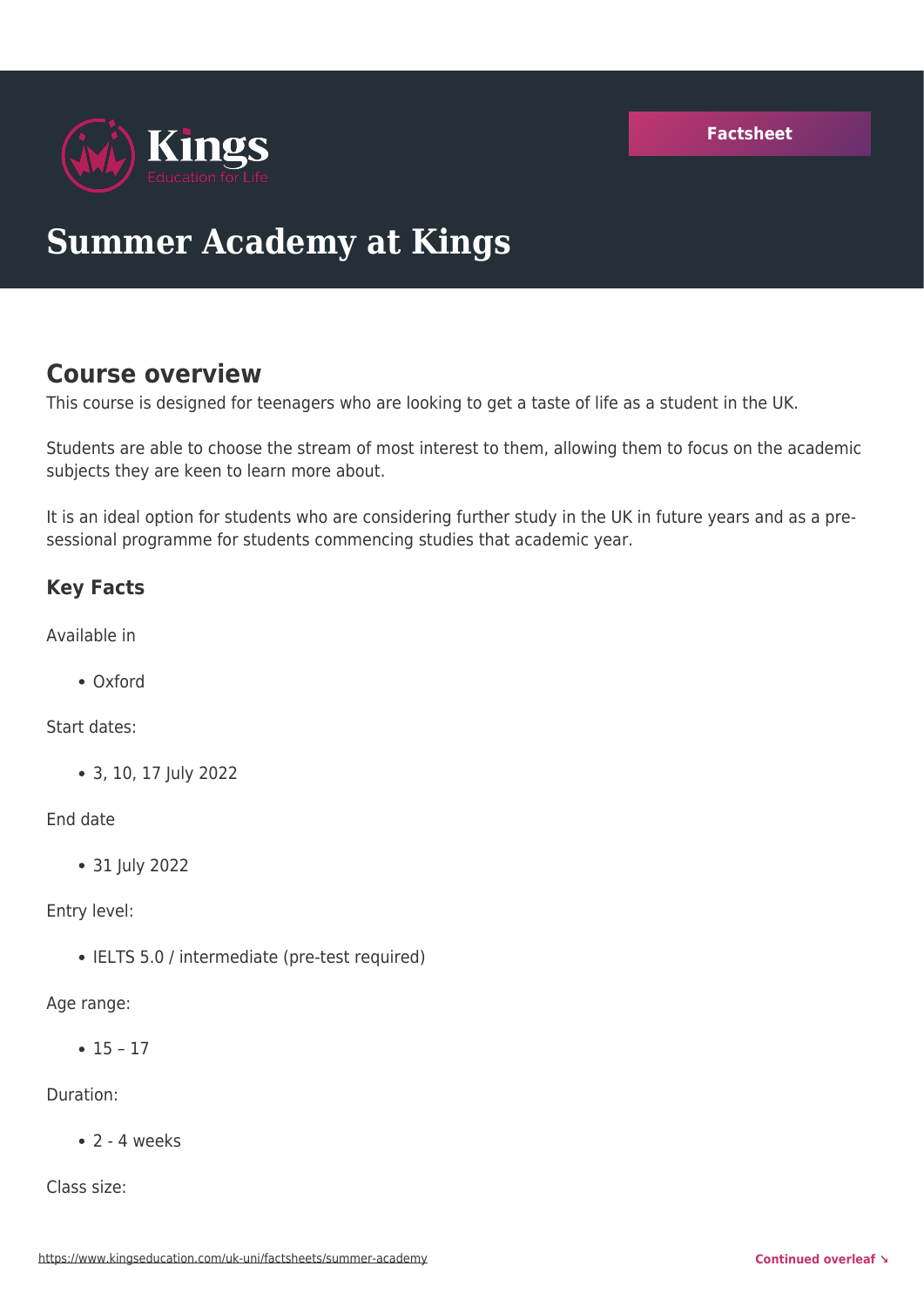**[Factsheet](https://www.kingseducation.com/uk-uni/factsheets/summer-academy)**



# **Summer Academy at Kings**

# **Course overview**

This course is designed for teenagers who are looking to get a taste of life as a student in the UK.

Students are able to choose the stream of most interest to them, allowing them to focus on the academic subjects they are keen to learn more about.

It is an ideal option for students who are considering further study in the UK in future years and as a presessional programme for students commencing studies that academic year.

# **Key Facts**

Available in

Oxford

Start dates:

3, 10, 17 July 2022

#### End date

31 July 2022

Entry level:

• IELTS 5.0 / intermediate (pre-test required)

Age range:

 $• 15 - 17$ 

Duration:

 $\bullet$  2 - 4 weeks

Class size: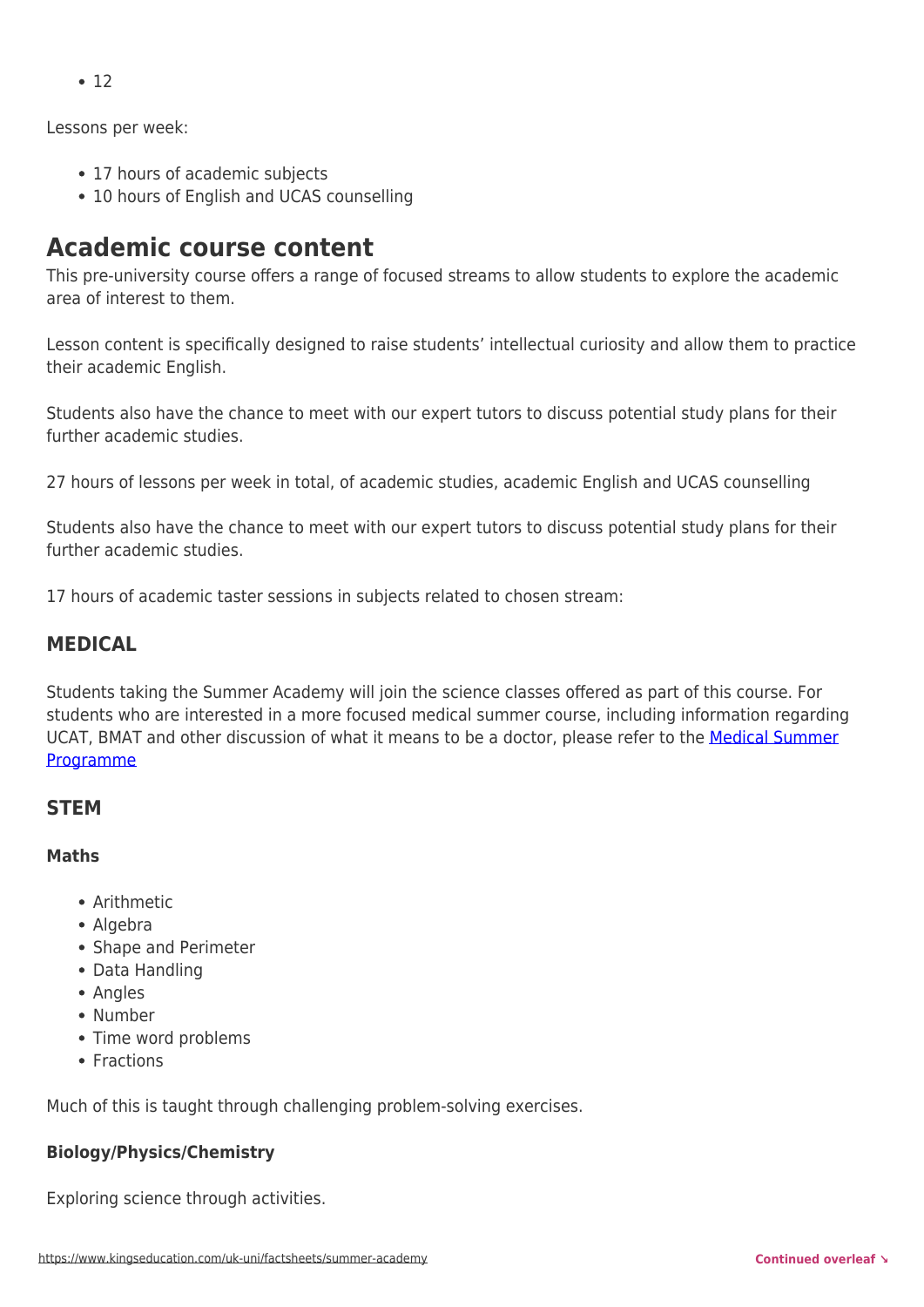Lessons per week:

- 17 hours of academic subjects
- 10 hours of English and UCAS counselling

# **Academic course content**

This pre-university course offers a range of focused streams to allow students to explore the academic area of interest to them.

Lesson content is specifically designed to raise students' intellectual curiosity and allow them to practice their academic English.

Students also have the chance to meet with our expert tutors to discuss potential study plans for their further academic studies.

27 hours of lessons per week in total, of academic studies, academic English and UCAS counselling

Students also have the chance to meet with our expert tutors to discuss potential study plans for their further academic studies.

17 hours of academic taster sessions in subjects related to chosen stream:

# **MEDICAL**

Students taking the Summer Academy will join the science classes offered as part of this course. For students who are interested in a more focused medical summer course, including information regarding UCAT, BMAT and other discussion of what it means to be a doctor, please refer to the [Medical Summer](https://www.kingseducation.com/uk-uni/medical-summer-programme) [Programme](https://www.kingseducation.com/uk-uni/medical-summer-programme)

## **STEM**

### **Maths**

- Arithmetic
- Algebra
- Shape and Perimeter
- Data Handling
- Angles
- Number
- Time word problems
- Fractions

Much of this is taught through challenging problem-solving exercises.

### **Biology/Physics/Chemistry**

Exploring science through activities.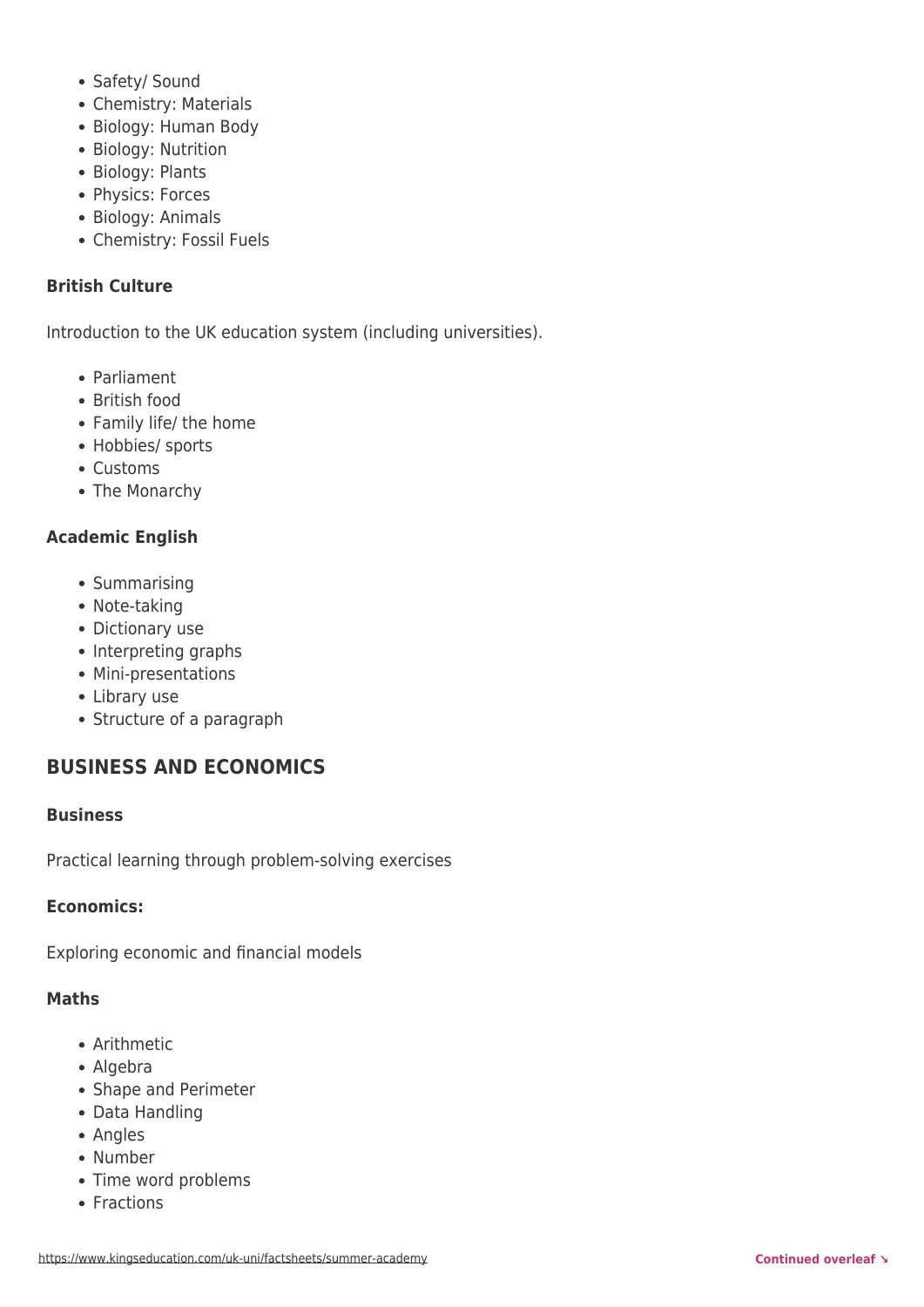- Safety/ Sound
- Chemistry: Materials
- Biology: Human Body
- Biology: Nutrition
- Biology: Plants
- Physics: Forces
- Biology: Animals
- Chemistry: Fossil Fuels

#### **British Culture**

Introduction to the UK education system (including universities).

- Parliament
- British food
- Family life/ the home
- Hobbies/ sports
- Customs
- The Monarchy

#### **Academic English**

- Summarising
- Note-taking
- Dictionary use
- Interpreting graphs
- Mini-presentations
- Library use
- Structure of a paragraph

## **BUSINESS AND ECONOMICS**

#### **Business**

Practical learning through problem-solving exercises

#### **Economics:**

Exploring economic and financial models

#### **Maths**

- Arithmetic
- Algebra
- Shape and Perimeter
- Data Handling
- Angles
- Number
- Time word problems
- Fractions